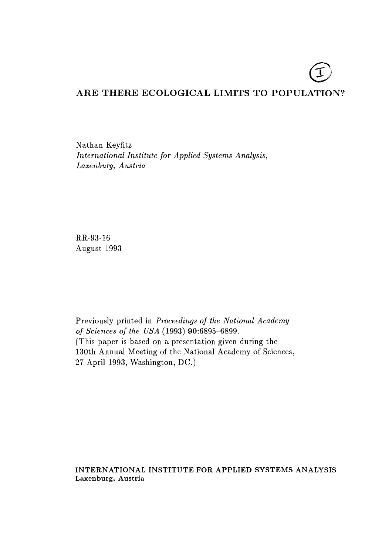# **ARE THERE ECOLOGICAL LIMITS TO POPULATION?**

Nathan Keyfitz *International Institute for Applied Systems Analysis, Laxenburg, Austria* 

RR-93-16 August 1993

Previously printed in *Proceedings of the National Academy of Sciences of the USA* (1993) 90:6895-6899. (This paper is based on a presentation given during the 130th Annual Meeting of the National Academy of Sciences, 27 April 1993, Washington, DC.)

**INTERNATIONAL INSTITUTE FOR APPLIED SYSTEMS ANALYSIS Laxenburg, Austria**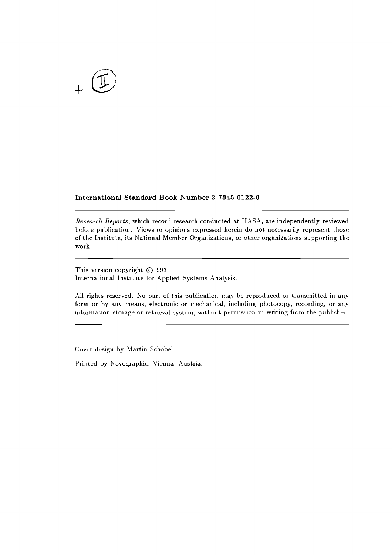

#### **International Standard Book Number 3-7045-0122-0**

*Research Reports,* which record research conducted at IIASA, are independently reviewed before publication. Views or opinions expressed herein do not necessarily represent those of the Institute, its National Member Organizations, or other organizations supporting the work.

This version copyright **01993**  International Institute for Applied Systems Analysis.

All rights reserved. No part of this publication may be reproduced or transmitted in any form or by any means, electronic or mechanical, including photocopy, recording, or any information storage or retrieval system, without permission in writing from the publisher.

Cover design by Martin Schobel.

Printed by Novographic, Vienna, Austria.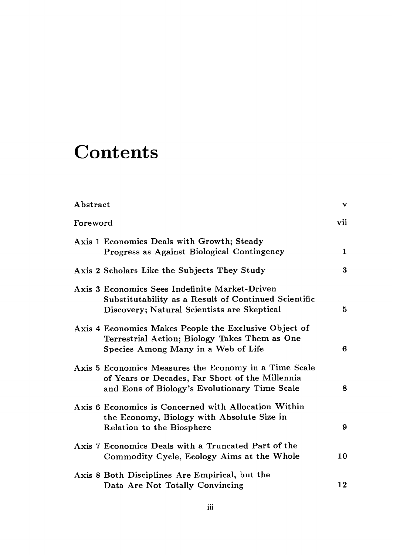## **Contents**

| Abstract                                                                                                                                                  | v   |
|-----------------------------------------------------------------------------------------------------------------------------------------------------------|-----|
| Foreword                                                                                                                                                  | vii |
| Axis 1 Economics Deals with Growth; Steady<br>Progress as Against Biological Contingency                                                                  | 1   |
| Axis 2 Scholars Like the Subjects They Study                                                                                                              | 3   |
| Axis 3 Economics Sees Indefinite Market-Driven<br>Substitutability as a Result of Continued Scientific<br>Discovery; Natural Scientists are Skeptical     | 5   |
| Axis 4 Economics Makes People the Exclusive Object of<br>Terrestrial Action; Biology Takes Them as One<br>Species Among Many in a Web of Life             | 6   |
| Axis 5 Economics Measures the Economy in a Time Scale<br>of Years or Decades, Far Short of the Millennia<br>and Eons of Biology's Evolutionary Time Scale | 8   |
| Axis 6 Economics is Concerned with Allocation Within<br>the Economy, Biology with Absolute Size in<br><b>Relation to the Biosphere</b>                    | 9   |
| Axis 7 Economics Deals with a Truncated Part of the<br>Commodity Cycle, Ecology Aims at the Whole                                                         | 10  |
| Axis 8 Both Disciplines Are Empirical, but the<br>Data Are Not Totally Convincing                                                                         | 12  |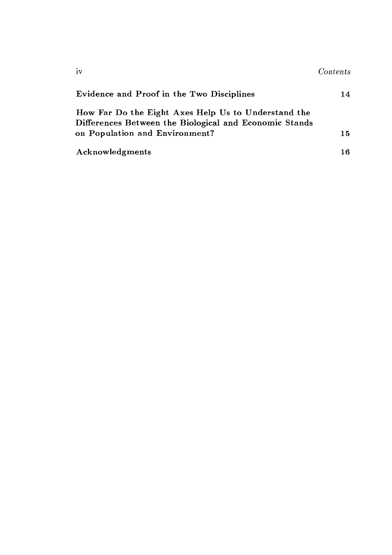| ıv | Contents |
|----|----------|
|    |          |
|    |          |

| Evidence and Proof in the Two Disciplines                                                                     | 14 |
|---------------------------------------------------------------------------------------------------------------|----|
| How Far Do the Eight Axes Help Us to Understand the<br>Differences Between the Biological and Economic Stands |    |
| on Population and Environment?                                                                                | 15 |
| Acknowledgments                                                                                               | 16 |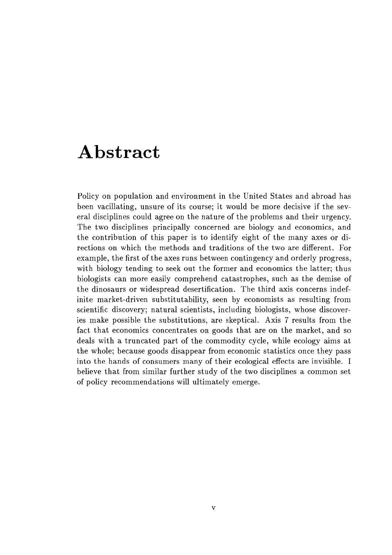### **Abstract**

Policy on population and environment in the United States and abroad has been vacillating, unsure of its course; it would be more decisive if the several disciplines could agree on the nature of the problems and their urgency. The two disciplines principally concerned are biology and economics, and the contribution of this paper is to identify eight of the many axes or directions on which the methods and traditions of the two are different. For example, the first of the axes runs between contingency and orderly progress, with biology tending to seek out the former and economics the latter; thus biologists can more easily comprehend catastrophes, such as the demise of the dinosaurs or widespread desertification. The third axis concerns indefinite market-driven substitutability, seen by economists as resulting from scientific discovery; natural scientists, including biologists, whose discoveries make possible the substitutions, are skeptical. Axis 7 results from the fact that economics concentrates on goods that are on the market, and so deals with a truncated part of the commodity cycle, while ecology aims at the whole; because goods disappear from economic statistics once they pass into the hands of consumers many of their ecological effects are invisible. I believe that from similar further study of the two disciplines a common set of policy recommendations will ultimately emerge.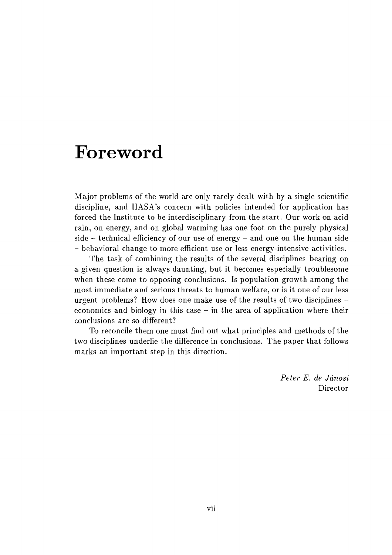### **Foreword**

Major problems of the world are only rarely dealt with by a single scientific discipline, and IIASA's concern with policies intended for application has forced the Institute to be interdisciplinary from the start. Our work on acid rain, on energy, and on global warming has one foot on the purely physical side  $-$  technical efficiency of our use of energy  $-$  and one on the human side - behavioral change to more efficient use or less energy-intensive activities.

The task of combining the results of the several disciplines bearing on a given question is always daunting, but it becomes especially troublesome when these come to opposing conclusions. Is population growth among the most immediate and serious threats to human welfare, or is it one of our less urgent problems? How does one make use of the results of two disciplines economics and biology in this case - in the area of application where their conclusions are so different?

To reconcile them one must find out what principles and methods of the two disciplines underlie the difference in conclusions. The paper that follows marks an important step in this direction.

> *Peter* E. de *Ja'nosi*  Director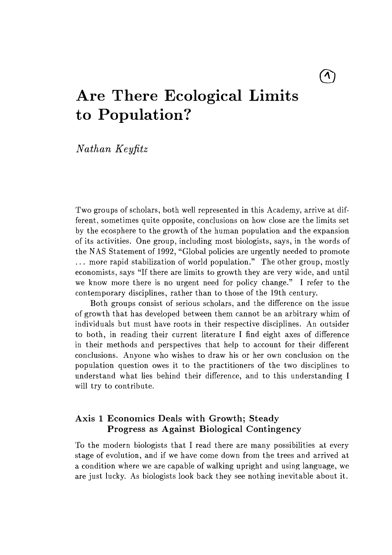# **Are There Ecological Limits to Population?**

*Nathan Ke yfitx* 

Two groups of scholars, both well represented in this Academy, arrive at different, sometimes quite opposite, conclusions on how close are the limits set by the ecosphere to the growth of the human population and the expansion of its activities. One group, including most biologists, says, in the words of the NAS Statement of 1992, "Global policies are urgently needed to promote ... more rapid stabilization of world population." The other group, mostly economists, says "If there are limits to growth they are very wide, and until we know more there is no urgent need for policy change." I refer to the contemporary disciplines, rather than to those of the 19th century.

Both groups consist of serious scholars, and the difference on the issue of growth that has developed between them cannot be an arbitrary whim of individuals but must have roots in their respective disciplines. An outsider to both, in reading their current literature I find eight axes of difference in their methods and perspectives that help to account for their different conclusions. Anyone who wishes to draw his or her own conclusion on the population question owes it to the practitioners of the two disciplines to understand what lies behind their difference, and to this understanding I will try to contribute.

#### **Axis 1 Economics Deals with Growth; Steady Progress as Against Biological Contingency**

To the modern biologists that I read there are many possibilities at every stage of evolution, and if we have come down from the trees and arrived at a condition where we are capable of walking upright and using language, we are just lucky. As biologists look back they see nothing inevitable about it.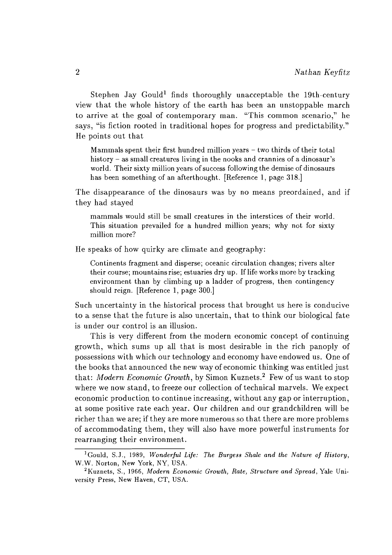Stephen Jay Gould<sup>1</sup> finds thoroughly unacceptable the 19th-century view that the whole history of the earth has been an unstoppable march to arrive at the goal of contemporary man. "This common scenario," he says, "is fiction rooted in traditional hopes for progress and predictability." He points out that

Mammals spent their first hundred million years - two thirds of their total history – as small creatures living in the nooks and crannies of a dinosaur's world. Their sixty million years of success following the demise of dinosaurs has been something of an afterthought. [Reference 1, page 318.]

The disappearance of the dinosaurs was by no means preordained, and if they had stayed

mammals would still be small creatures in the interstices of their world. This situation prevailed for a hundred million years; why not for sixty million more?

He speaks of how quirky are climate and geography:

Continents fragment and disperse; oceanic circulation changes; rivers alter their course; mountains rise; estuaries dry up. If life works more by tracking environment than by climbing up a ladder of progress, then contingency should reign. [Reference 1, page 300.]

Such uncertainty in the historical process that brought us here is conducive to a sense that the future is also uncertain, that to think our biological fate is under our control is an illusion.

This is very different from the modern economic concept of continuing growth, which sums up all that is most desirable in the rich panoply of possessions with which our technology and economy have endowed us. One of the books that announced the new way of economic thinking was entitled just that: *Modern Economic Growth*, by Simon Kuznets.<sup>2</sup> Few of us want to stop where we now stand, to freeze our collection of technical marvels. We expect economic production to continue increasing, without any gap or interruption, at some positive rate each year. Our children and our grandchildren will be richer than we are; if they are more numerous so that there are more problems of accommodating them, they will also have more powerful instruments for rearranging their environment.

<sup>&#</sup>x27;Gould, S.J., 1989, *Wonderful Life: The Burgess Shale and the Nature of History,*  W.W. Norton, New York, NY, USA.

<sup>&#</sup>x27;Kuznets, S., 1966, *Modern Economic Growth, Rate, Structure and Spread,* Yale University Press, New Haven, CT, USA.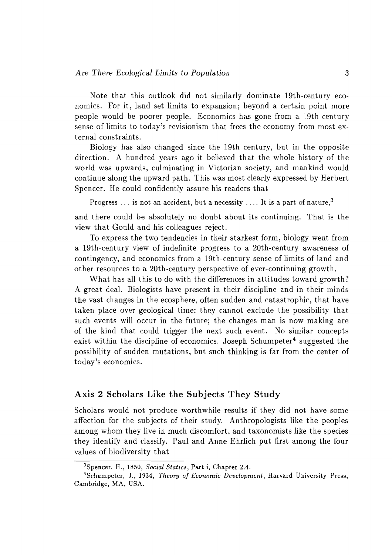Note that this outlook did not similarly dominate 19th-century economics. For it, land set limits to expansion; beyond a certain point more people would be poorer people. Economics has gone from a 19th-century sense of limits to today's revisionism that frees the economy from most external constraints.

Biology has also changed since the 19th century, but in the opposite direction. A hundred years ago it believed that the whole history of the world was upwards, culminating in Victorian society, and mankind would continue along the upward path. This was most clearly expressed by Herbert Spencer. He could confidently assure his readers that

Progress ... is not an accident, but a necessity .... It is a part of nature,<sup>3</sup>

and there could be absolutely no doubt about its continuing. That is the view that Gould and his colleagues reject.

To express the two tendencies in their starkest form, biology went from a 19th-century view of indefinite progress to a 20th-century awareness of contingency, and economics from a 19th-century sense of limits of land and other resources to a 20th-century perspective of ever-continuing growth.

What has all this to do with the differences in attitudes toward growth? A great deal. Biologists have present in their discipline and in their minds the vast changes in the ecosphere, often sudden and catastrophic, that have taken place over geological time; they cannot exclude the possibility that such events will occur in the future; the changes man is now making are of the kind that could trigger the next such event. No similar concepts exist within the discipline of economics. Joseph Schumpeter<sup>4</sup> suggested the possibility of sudden mutations, but such thinking is far from the center of today's economics.

#### Axis 2 Scholars Like the Subjects They Study

Scholars would not produce worthwhile results if they did not have some affection for the subjects of their study. Anthropologists like the peoples among whom they live in much discomfort, and taxonomists like the species they identify and classify. Paul and Anne Ehrlich put first among the four values of biodiversity that

<sup>3</sup>Spencer, H., 1850, *Social Statics,* Part i, Chapter 2.4.

<sup>&#</sup>x27;Schurnpeter, J., 1934, *Theory of Economic Development,* Harvard University Press, Cambridge, MA, USA.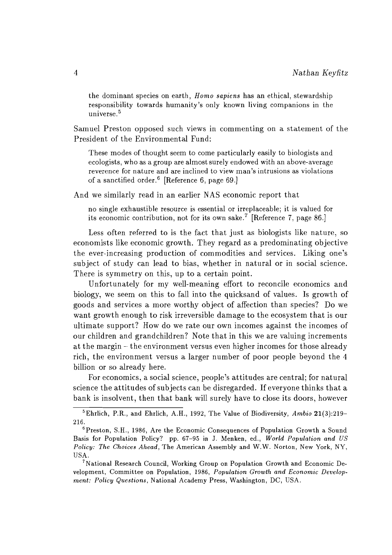the dominant species on earth, Homo **sapiens** has an ethical, stewardship responsibility towards humanity's only known living companions in the  $universe.<sup>5</sup>$ 

Samuel Preston opposed such views in commenting on a statement of the President of the Environmental Fund:

These modes of thought seem to come particularly easily to biologists and ecologists, who as a group are almost surely endowed with an above-average reverence for nature and are inclined to view man's intrusions as violations of a sanctified order.6 [Reference 6, page 69.1

And we similarly read in an earlier NAS economic report that

no single exhaustible resource is essential or irreplaceable; it is valued for its economic contribution, not for its own sake.<sup>7</sup> [Reference 7, page 86.]

Less often referred to is the fact that just as biologists like nature, so economists like economic growth. They regard as a predominating objective the ever-increasing production of commodities and services. Liking one's subject of study can lead to bias, whether in natural or in social science. There is symmetry on this, up to a certain point.

Unfortunately for my well-meaning effort to reconcile economics and biology, we seem on this to fall into the quicksand of values. Is growth of goods and services a more worthy object of affection than species? Do we want growth enough to risk irreversible damage to the ecosystem that is our ultimate support? How do we rate our own incomes against the incomes of our children and grandchildren? Note that in this we are valuing increments at the margin - the environment versus even higher incomes for those already rich, the environment versus a larger number of poor people beyond the 4 billion or so already here.

For economics, a social science, people's attitudes are central; for natural science the attitudes of subjects can be disregarded. If everyone thinks that a bank is insolvent, then that bank will surely have to close its doors, however

<sup>5</sup>Ehrlich, P.R., and Ehrlich, A.H., 1992, The Value of Biodiversity, *Ambio* 21(3):219- 216.

 ${}^6$ Preston, S.H., 1986, Are the Economic Consequences of Population Growth a Sound Basis for Population Policy? pp. 67-95 in J. Menken, ed., *World Population and US Policy: The Choices Ahead,* The American Assembly and W.W. Norton, New York, NY, USA.

<sup>&</sup>lt;sup>7</sup>National Research Council, Working Group on Population Growth and Economic Development, Committee on Population, 1986, *Population Growth and Economic Development: Policy Questions,* National Academy Press, Washington, DC, USA.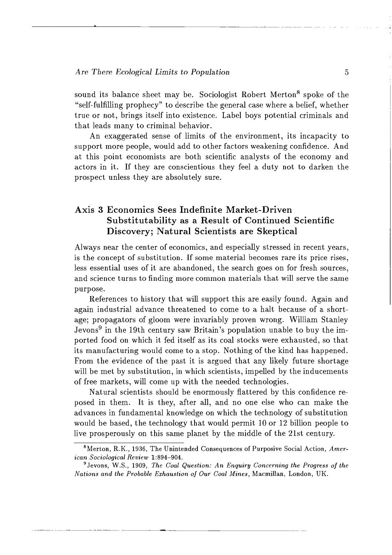sound its balance sheet may be. Sociologist Robert Merton<sup>8</sup> spoke of the "self-fulfilling prophecy" to describe the general case where a belief, whether true or not, brings itself into existence. Label boys potential criminals and that leads many to criminal behavior.

An exaggerated sense of limits of the environment, its incapacity to support more people, would add to other factors weakening confidence. And at this point economists are both scientific analysts of the economy and actors in it. If they are conscientious they feel a duty not to darken the prospect unless they are absolutely sure.

#### **Axis 3 Economics Sees Indefinite Market-Driven Substitutability as a Result of Continued Scientific Discovery; Natural Scientists are Skeptical**

Always near the center of economics, and especially stressed in recent years, is the concept of substitution. If some material becomes rare its price rises, less essential uses of it are abandoned, the search goes on for fresh sources, and science turns to finding more common materials that will serve the same purpose.

References to history that will support this are easily found. Again and again industrial advance threatened to come to a halt because of a shortage; propagators of gloom were invariably proven wrong. William Stanley Jevons<sup>9</sup> in the 19th century saw Britain's population unable to buy the imported food on which it fed itself as its coal stocks were exhausted, so that its manufacturing would come to a stop. Nothing of the kind has happened. From the evidence of the past it is argued that any likely future shortage will be met by substitution, in which scientists, impelled by the inducements of free markets, will come up with the needed technologies.

Natural scientists should be enormously flattered by this confidence reposed in them. It is they, after all, and no one else who can make the advances in fundamental knowledge on which the technology of substitution would be based, the technology that would permit 10 or 12 billion people to live prosperously on this same planet by the middle of the 21st century.

**<sup>&#</sup>x27;Merton, R.K., 1936, The Unintended Consequences of Purposive Social Action,** *American Sociological Review* **1:894-904.** 

**<sup>&#</sup>x27;Jevons, W.S., 1909,** *The Coal Question: An Enquiry Concerning the Progress of the Nations and the Probable Exhaustion of Our Coal Mines,* **Macmillan, London, UK.**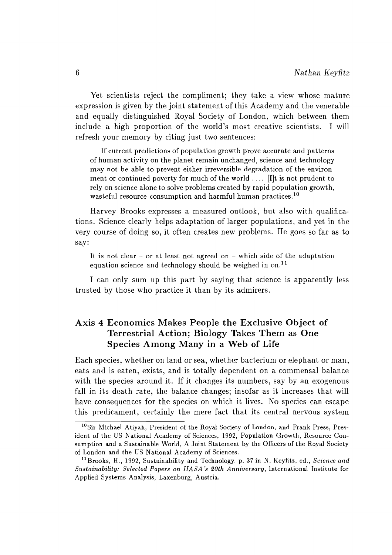Yet scientists reject the compliment; they take a view whose mature expression is given by the joint statement of this Academy and the venerable and equally distinguished Royal Society of London, which between them include a high proportion of the world's most creative scientists. I will refresh your memory by citing just two sentences:

If current predictions of population growth prove accurate and patterns of human activity on the planet remain unchanged, science and technology may not be able to prevent either irreversible degradation of the environment or continued poverty for much of the world  $\dots$  [I]t is not prudent to rely on science alone to solve problems created by rapid population growth, wasteful resource consumption and harmful human practices.<sup>10</sup>

Harvey Brooks expresses a measured outlook, but also with qualifications. Science clearly helps adaptation of larger populations, and yet in the very course of doing so, it often creates new problems. He goes so far as to say:

It is not clear  $-$  or at least not agreed on  $-$  which side of the adaptation equation science and technology should be weighed in on.<sup>11</sup>

I can only sum up this part by saying that science is apparently less trusted by those who practice it than by its admirers.

#### **Axis 4 Economics Makes People the Exclusive Object of Terrestrial Action; Biology Takes Them as One Species Among Many in a Web of Life**

Each species, whether on land or sea, whether bacterium or elephant or man, eats and is eaten, exists, and is totally dependent on a commensal balance with the species around it. If it changes its numbers, say by an exogenous fall in its death rate, the balance changes; insofar as it increases that will have consequences for the species on which it lives. No species can escape this predicament, certainly the mere fact that its central nervous system

<sup>&</sup>lt;sup>10</sup>Sir Michael Ativah, President of the Royal Society of London, and Frank Press, President of the US National Academy of Sciences, 1992, Population Growth, Resource Consumption and a Sustainable World, A Joint Statement by the Officers of the Royal Society of London and the US National Academy of Sciences.

<sup>&</sup>lt;sup>11</sup> Brooks, H., 1992, Sustainability and Technology, p. 37 in N. Keyfitz, ed., *Science and Sustainability: Selected Papers on IIASA's 20th Anniversary,* International Institute for Applied Systems Analysis, Laxenburg, Austria.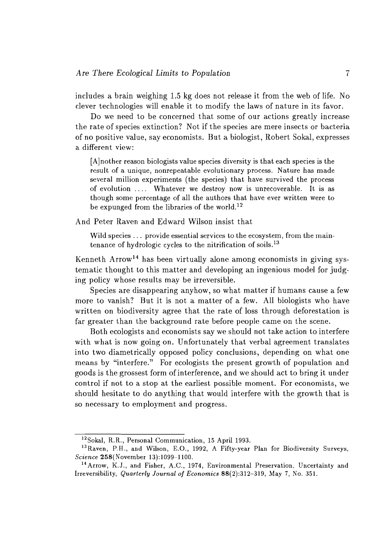includes a brain weighing 1.5 kg does not release it from the web of life. No clever technologies will enable it to modify the laws of nature in its favor.

Do we need to be concerned that some of our actions greatly increase the rate of species extinction? Not if the species are mere insects or bacteria of no positive value, say economists. But a biologist, Robert Sokal, expresses a different view:

[Alnother reason biologists value species diversity is that each species is the result of a unique, nonrepeatable evolutionary process. Nature has made several million experiments (the species) that have survived the process of evolution . . . . Whatever we destroy now is unrecoverable. It is as though some percentage of all the authors that have ever written were to be expunged from the libraries of the world.<sup>12</sup>

And Peter Raven and Edward Wilson insist that

Wild species . . . provide essential services to the ecosystem, from the maintenance of hydrologic cycles to the nitrification of soils.<sup>13</sup>

Kenneth Arrow14 has been virtually alone among economists in giving systematic thought to this matter and developing an ingenious model for judging policy whose results may be irreversible.

Species are disappearing anyhow, so what matter if humans cause a few more to vanish? But it is not a matter of a few. All biologists who have written on biodiversity agree that the rate of loss through deforestation is far greater than the background rate before people came on the scene.

Both ecologists and economists say we should not take action to interfere with what is now going on. Unfortunately that verbal agreement translates into two diametrically opposed policy conclusions, depending on what one means by "interfere." For ecologists the present growth of population and goods is the grossest form of interference, and we should act to bring it under control if not to a stop at the earliest possible moment. For economists, we should hesitate to do anything that would interfere with the growth that is so necessary to employment and progress.

<sup>12</sup>Sokal, R.R., Personal Communication, 15 April 1993.

**<sup>13</sup>**Raven, P.H., and Wilson, E.O., 1992, A Fifty-year Plan for Biodiversity Surveys, *Science* 258(Novernber 13):1099-1100.

<sup>&</sup>lt;sup>14</sup> Arrow, K.J., and Fisher, A.C., 1974, Environmental Preservation, Uncertainty and Irreversibility, *Quarterly Journal of Economics* 88(2):312-319, May *7,* No. 351.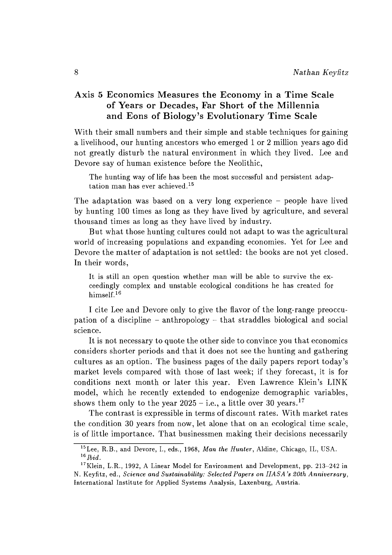#### Axis 5 Economics Measures the Economy in a Time Scale of Years or Decades, Far Short of the Millennia and Eons of Biology's Evolutionary Time Scale

With their small numbers and their simple and stable techniques for gaining a livelihood, our hunting ancestors who emerged 1 or 2 million years ago did not greatly disturb the natural environment in which they lived. Lee and Devore say of human existence before the Neolithic,

The hunting way of life has been the most successful and persistent adaptation man has ever achieved.15

The adaptation was based on a very long experience - people have lived by hunting 100 times as long as they have lived by agriculture, and several thousand times as long as they have lived by industry.

But what those hunting cultures could not adapt to was the agricultural world of increasing populations and expanding economies. Yet for Lee and Devore the matter of adaptation is not settled: the books are not yet closed. In their words,

It is still an open question whether man will be able to survive the exceedingly complex and unstable ecological conditions he has created for himsel $f<sup>16</sup>$ 

I cite Lee and Devore only to give the flavor of the long-range preoccupation of a discipline  $-$  anthropology  $-$  that straddles biological and social science.

It is not necessary to quote the other side to convince you that economics considers shorter periods and that it does not see the hunting and gathering cultures as an option. The business pages of the daily papers report today's market levels compared with those of last week; if they forecast, it is for conditions next month or later this year. Even Lawrence Klein's LINK model, which he recently extended to endogenize demographic variables, shows them only to the year  $2025 - i.e.,$  a little over 30 years.<sup>17</sup>

The contrast is expressible in terms of discount rates. With market rates the condition 30 years from now, let alone that on an ecological time scale, is of little importance. That businessmen making their decisions necessarily

<sup>15</sup>Lee, R.B., and Devore, I., eds., 1968, *Man the Hunter,* Aldine, Chicago, IL, USA. l6 *Ibid.* 

<sup>&</sup>lt;sup>17</sup>Klein, L.R., 1992, A Linear Model for Environment and Development, pp. 213-242 in N. Keyfitz, ed., *Science and Sustainability: Selected Papers on IIASA's 20th Anniversary*, International Institute for Applied Systems Analysis, Laxenburg, Austria.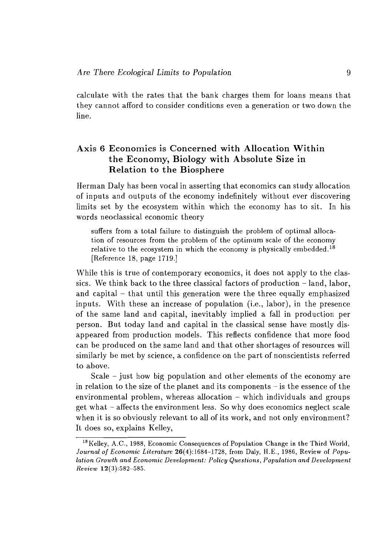calculate with the rates that the bank charges them for loans means that they cannot afford to consider conditions even a generation or two down the line.

#### **Axis 6 Economics is Concerned with Allocation Within the Economy, Biology with Absolute Size in Relation to the Biosphere**

Herman Daly has been vocal in asserting that economics can study allocation of inputs and outputs of the economy indefinitely without ever discovering limits set by the ecosystem within which the economy has to sit. In his words neoclassical economic theory

suffers from a total failure to distinguish the problem of optimal allocation of resources from the problem of the optimum scale of the economy relative to the ecosystem in which the economy is physically embedded.<sup>18</sup> [Reference 18, page 1719.]

While this is true of contemporary economics, it does not apply to the classics. We think back to the three classical factors of production  $-$ land, labor, and capital - that until this generation were the three equally emphasized inputs. With these an increase of population (i.e., labor), in the presence of the same land and capital, inevitably implied a fall in production per person. But today land and capital in the classical sense have mostly disappeared from production models. This reflects confidence that more food can be produced on the same land and that other shortages of resources will similarly be met by science, a confidence on the part of nonscientists referred to above.

Scale - just how big population and other elements of the economy are in relation to the size of the planet and its components - is the essence of the environmental problem, whereas allocation - which individuals and groups get what - affects the environment less. So why does economics neglect scale when it is so obviously relevant to all of its work, and not only environment? It does so, explains Kelley,

**<sup>18</sup>Kelley, A.C., 1988, Economic Consequences of Population Change in the Third World,**  *Journal of Economic Literature* **26(4):1684-1728, from Daly, H.E., 1986, Review of** *Population Growth and Economic Development: Policy Questions, Population and Development Review* **12(3):582-585.**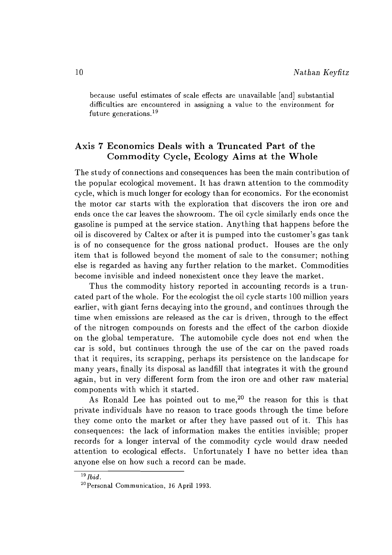because useful estimates of scale effects are unavailable [and] substantial difficulties are encountered in assigning a value to the environment for future generations.1g

#### **Axis 7 Economics Deals with a Truncated Part of the Commodity Cycle, Ecology Aims at the Whole**

The study of connections and consequences has been the main contribution of the popular ecological movement. It has drawn attention to the commodity cycle, which is much longer for ecology than for economics. For the economist the motor car starts with the exploration that discovers the iron ore and ends once the car leaves the showroom. The oil cycle similarly ends once the gasoline is pumped at the service station. Anything that happens before the oil is discovered by Caltex or after it is pumped into the customer's gas tank is of no consequence for the gross national product. Houses are the only item that is followed beyond the moment of sale to the consumer; nothing else is regarded as having any further relation to the market. Commodities become invisible and indeed nonexistent once they leave the market.

Thus the commodity history reported in accounting records is a truncated part of the whole. For the ecologist the oil cycle starts 100 million years earlier, with giant ferns decaying into the ground, and continues through the time when emissions are released as the car is driven, through to the effect of the nitrogen compounds on forests and the effect of the carbon dioxide on the global temperature. The automobile cycle does not end when the car is sold, but continues through the use of the car on the paved roads that it requires, its scrapping, perhaps its persistence on the landscape for many years, finally its disposal as landfill that integrates it with the ground again, but in very different form from the iron ore and other raw material components with which it started.

As Ronald Lee has pointed out to me, $20$  the reason for this is that private individuals have no reason to trace goods through the time before they come onto the market or after they have passed out of it. This has consequences: the lack of information makes the entities invisible; proper records for a longer interval of the commodity cycle would draw needed attention to ecological effects. Unfortunately I have no better idea than anyone else on how such a record can be made.

 $19$  *Ibid.* 

**<sup>20</sup>Personal Communication,** 16 **April 1993.**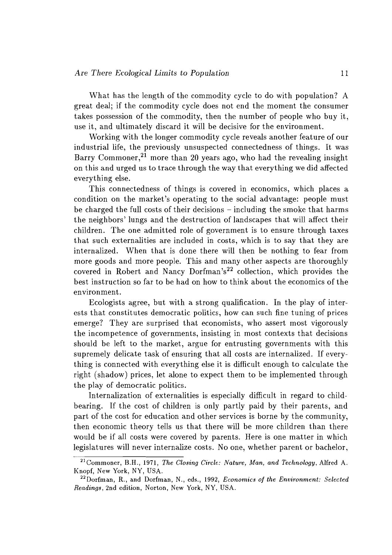What has the length of the commodity cycle to do with population? A great deal; if the commodity cycle does not end the moment the consumer takes possession of the commodity, then the number of people who buy it, use it, and ultimately discard it will be decisive for the environment.

Working with the longer commodity cycle reveals another feature of our industrial life, the previously unsuspected connectedness of things. It was Barry Commoner,<sup>21</sup> more than 20 years ago, who had the revealing insight on this and urged us to trace through the way that everything we did affected everything else.

This connectedness of things is covered in economics, which places a condition on the market's operating to the social advantage: people must be charged the full costs of their decisions - including the smoke that harms the neighbors' lungs and the destruction of landscapes that will affect their children. The one admitted role of government is to ensure through taxes that such externalities are included in costs, which is to say that they are internalized. When that is done there will then be nothing to fear from more goods and more people. This and many other aspects are thoroughly covered in Robert and Nancy Dorfman's<sup>22</sup> collection, which provides the best instruction so far to be had on how to think about the economics of the environment.

Ecologists agree, but with a strong qualification. In the play of interests that constitutes democratic politics, how can such fine tuning of prices emerge? They are surprised that economists, who assert most vigorously the incompetence of governments, insisting in most contexts that decisions should be left to the market, argue for entrusting governments with this supremely delicate task of ensuring that all costs are internalized. If everything is connected with everything else it is difficult enough to calculate the right (shadow) prices, let alone to expect them to be implemented through the play of democratic politics.

Internalization of externalities is especially difficult in regard to childbearing. If the cost of children is only partly paid by their parents, and part of the cost for education and other services is borne by the community, then economic theory tells us that there will be more children than there would be if all costs were covered by parents. Here is one matter in which legislatures will never internalize costs. No one, whether parent or bachelor,

<sup>21</sup>Commoner, B.H., 1971, *The Closing Circle: Nature, Man, and Technology,* Alfred A. Knopf, New York, NY, USA.

<sup>22</sup>Dorfman, R., and Dorfman, N., eds., 1992, *Economics of the Environment: Selected Readings,* 2nd edition, Norton, New York, NY, USA.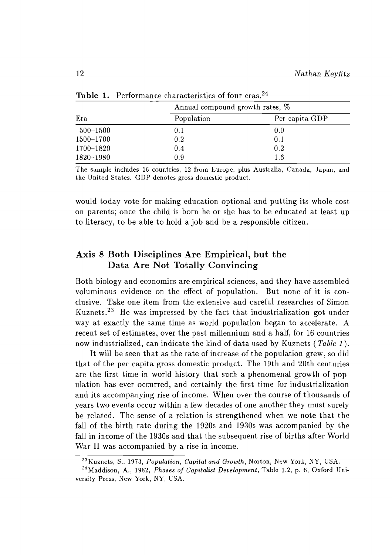| Era       | Annual compound growth rates, % |                |  |
|-----------|---------------------------------|----------------|--|
|           | Population                      | Per capita GDP |  |
| 500–1500  | 0.1                             | 0.0            |  |
| 1500-1700 | 0.2                             | 0.1            |  |
| 1700-1820 | 0.4                             | 0.2            |  |
| 1820-1980 | 0.9                             | $1.6\,$        |  |

Table 1. Performance characteristics of four eras.<sup>24</sup>

The sample includes 16 countries, 12 from Europe, plus Australia, Canada, Japan, and the United States. GDP denotes gross domestic product.

would today vote for making education optional and putting its whole cost on parents; once the child is born he or she has to be educated at least up to literacy, to be able to hold a job and be a responsible citizen.

#### Axis 8 Both Disciplines Are Empirical, but the Data Are Not Totally Convincing

Both biology and economics are empirical sciences, and they have assembled voluminous evidence on the effect of population. But none of it is conclusive. Take one item from the extensive and careful researches of Simon Kuznets.<sup>23</sup> He was impressed by the fact that industrialization got under way at exactly the same time as world population began to accelerate. A recent set of estimates, over the past millennium and a half, for 16 countries now industrialized, can indicate the kind of data used by Kuznets (Table 1).

It will be seen that as the rate of increase of the population grew, so did that of the per capita gross domestic product. The 19th and 20th centuries are the first time in world history that such a phenomenal growth of population has ever occurred, and certainly the first time for industrialization and its accompanying rise of income. When over the course of thousands of years two events occur within a few decades of one another they must surely be related. The sense of a relation is strengthened when we note that the fall of the birth rate during the 1920s and 1930s was accompanied by the fall in income of the 1930s and that the subsequent rise of births after World War II was accompanied by a rise in income.

<sup>&</sup>lt;sup>23</sup> Kuznets, S., 1973, *Population, Capital and Growth*, Norton, New York, NY, USA. <sup>24</sup> Maddison, A., 1982, *Phases of Capitalist Development*, Table 1.2, p. 6, Oxford University Press, New York, NY, USA.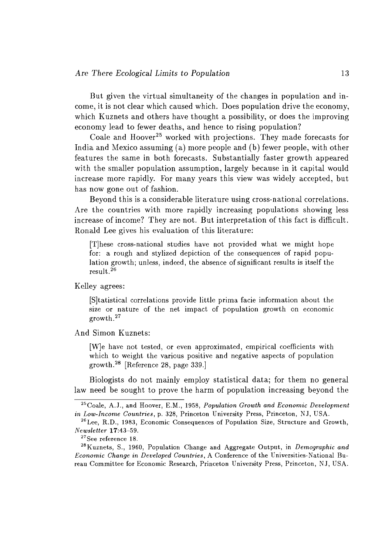But given the virtual simultaneity of the changes in population and income, it is not clear which caused which. Does population drive the economy, which Kuznets and others have thought a possibility, or does the improving economy lead to fewer deaths, and hence to rising population?

Coale and  $Hoover<sup>25</sup>$  worked with projections. They made forecasts for India and Mexico assuming (a) more people and (b) fewer people, with other features the same in both forecasts. Substantially faster growth appeared with the smaller population assumption, largely because in it capital would increase more rapidly. For many years this view was widely accepted, but has now gone out of fashion.

Beyond this is a considerable literature using cross-national correlations. Are the countries with more rapidly increasing populations showing less increase of income? They are not. But interpretation of this fact is difficult. Ronald Lee gives his evaluation of this literature:

[Tlhese cross-national studies have not provided what we might hope for: a rough and stylized depiction of the consequences of rapid population growth; unless, indeed, the absence of significant results is itself the result.26

Kelley agrees:

[Sltatistical correlations provide little prima facie information about the size or nature of the net impact of population growth on economic growth.<sup>27</sup>

And Simon Kuznets:

[W]e have not tested, or even approximated, empirical coefficients with which to weight the various positive and negative aspects of population growth. $^{28}$  [Reference 28, page 339.]

Biologists do not mainly employ statistical data; for them no general law need be sought to prove the harm of population increasing beyond the

<sup>25</sup>Coale, A.J., and Hoover, E.M., 1958, *Population Growth and Economic Development in Low-Income Countries,* p. 328, Princeton University Press, Princeton, NJ, USA.

<sup>26</sup>Lee, R.D., 1983, Economic Consequences of Population Size, Structure and Growth, *Newsletter* 17:43-59.

<sup>&</sup>lt;sup>27</sup>See reference 18.

<sup>28</sup>Kuznets, S., 1960, Population Change and Aggregate Output, in *Demographic and Economic Change in Developed Countries,* A Conference of the Universities-National Bureau Committee for Economic Research, Princeton University Press, Princeton, NJ, USA.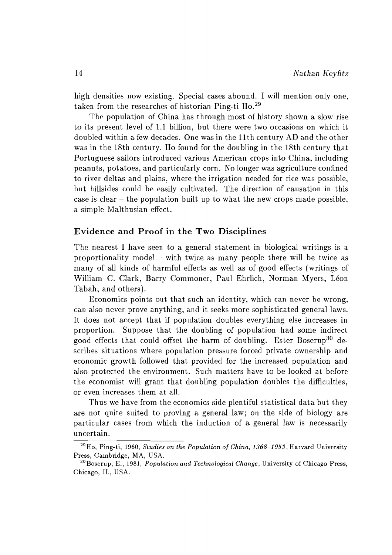high densities now existing. Special cases abound. I will mention only one, taken from the researches of historian Ping-ti  $Ho.^{29}$ 

The population of China has through most of history shown a slow rise to its present level of 1.1 billion, but there were two occasions on which it doubled within a few decades. One was in the 1 lth century AD and the other was in the 18th century. Ho found for the doubling in the 18th century that Portuguese sailors introduced various American crops into China, including peanuts, potatoes, and particularly corn. No longer was agriculture confined to river deltas and plains, where the irrigation needed for rice was possible, but hillsides could be easily cultivated. The direction of causation in this case is clear  $-$  the population built up to what the new crops made possible, a simple Malthusian effect.

#### Evidence and Proof in the Two Disciplines

The nearest I have seen to a general statement in biological writings is a proportionality model - with twice as many people there will be twice as many of all kinds of harmful effects as well as of good effects (writings of William C. Clark, Barry Commoner, Paul Ehrlich, Norman Myers, Léon Tabah, and others).

Economics points out that such an identity, which can never be wrong, can also never prove anything, and it seeks more sophisticated general laws. It does not accept that if population doubles everything else increases in proportion. Suppose that the doubling of population had some indirect good effects that could offset the harm of doubling. Ester Boserup<sup>30</sup> describes situations where population pressure forced private ownership and economic growth followed that provided for the increased population and also protected the environment. Such matters have to be looked at before the economist will grant that doubling population doubles the difficulties, or even increases them at all.

Thus we have from the economics side plentiful statistical data but they are not quite suited to proving a general law; on the side of biology are particular cases from which the induction of a general law is necessarily uncertain.

<sup>&</sup>lt;sup>29</sup> Ho, Ping-ti, 1960, *Studies on the Population of China, 1368-1953*, Harvard University Press, Cambridge, MA, USA.

<sup>30</sup>Boserup, E., 1981, *Population and Technological Change,* University of Chicago Press, Chicago, IL, USA.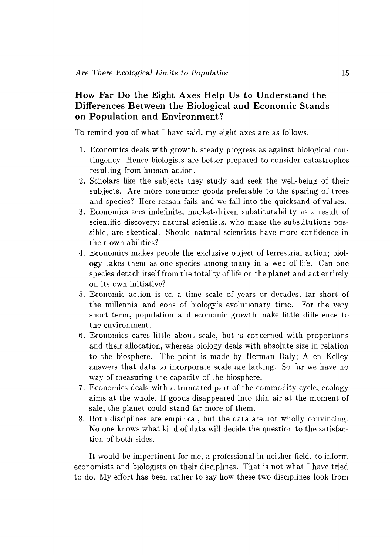#### **How Far Do the Eight Axes Help Us to Understand the Differences Between the Biological and Economic Stands on Population and Environment?**

To remind you of what I have said, my eight axes are as follows.

- 1. Economics deals with growth, steady progress as against biological contingency. Hence biologists are better prepared to consider catastrophes resulting from human action.
- 2. Scholars like the subjects they study and seek the well-being of their subjects. Are more consumer goods preferable to the sparing of trees and species? Here reason fails and we fall into the quicksand of values.
- **3.** Economics sees indefinite, market-driven substitutability as a result of scientific discovery; natural scientists, who make the substitutions possible, are skeptical. Should natural scientists have more confidence in their own abilities?
- 4. Economics makes people the exclusive object of terrestrial action; biology takes them as one species among many in a web of life. Can one species detach itself from the totality of life on the planet and act entirely on its own initiative?
- *5.* Economic action is on a time scale of years or decades, far short of the millennia and eons of biology's evolutionary time. For the very short term, population and economic growth make little difference to the environment.
- 6. Economics cares little about scale, but is concerned with proportions and their allocation, whereas biology deals with absolute size in relation to the biosphere. The point is made by Herman Daly; Allen Kelley answers that data to incorporate scale are lacking. So far we have no way of measuring the capacity of the biosphere.
- 7. Economics deals with a truncated part of the commodity cycle, ecology aims at the whole. If goods disappeared into thin air at the moment of sale, the planet could stand far more of them.
- 8. Both disciplines are empirical, but the data are not wholly convincing. No one knows what kind of data will decide the question to the satisfaction of both sides.

It would be impertinent for me, a professional in neither field, to inform economists and biologists on their disciplines. That is not what I have tried to do. My effort has been rather to say how these two disciplines look from